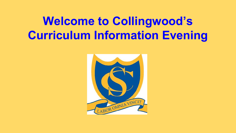# **Welcome to Collingwood's Curriculum Information Evening**

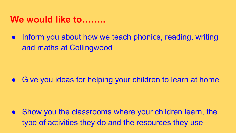#### **We would like to……..**

Inform you about how we teach phonics, reading, writing and maths at Collingwood

Give you ideas for helping your children to learn at home

Show you the classrooms where your children learn, the type of activities they do and the resources they use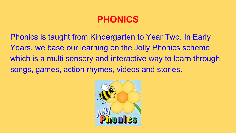# **PHONICS**

Phonics is taught from Kindergarten to Year Two. In Early Years, we base our learning on the Jolly Phonics scheme which is a multi sensory and interactive way to learn through songs, games, action rhymes, videos and stories.

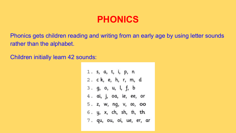# **PHONICS**

Phonics gets children reading and writing from an early age by using letter sounds rather than the alphabet.

Children initially learn 42 sounds:

1. s, a, t, i, p, n 2. ck, e, h, r, m, d 3. g, o, u, l, f, b 4. ai, j, oa, ie, ee, or 5. z, w, ng, v, 00, 00 6. y, x, ch, sh, th, th 7. qu, ou, oi, ue, er, ar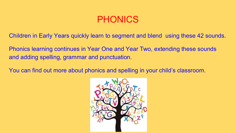#### PHONICS

Children in Early Years quickly learn to segment and blend using these 42 sounds.

Phonics learning continues in Year One and Year Two, extending these sounds and adding spelling, grammar and punctuation.

You can find out more about phonics and spelling in your child's classroom.

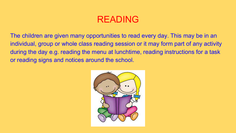The children are given many opportunities to read every day. This may be in an individual, group or whole class reading session or it may form part of any activity during the day e.g. reading the menu at lunchtime, reading instructions for a task or reading signs and notices around the school.

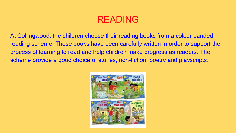At Collingwood, the children choose their reading books from a colour banded reading scheme. These books have been carefully written in order to support the process of learning to read and help children make progress as readers. The scheme provide a good choice of stories, non-fiction, poetry and playscripts.

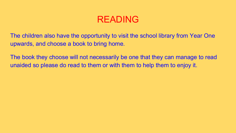The children also have the opportunity to visit the school library from Year One upwards, and choose a book to bring home.

The book they choose will not necessarily be one that they can manage to read unaided so please do read to them or with them to help them to enjoy it.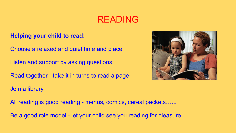#### **Helping your child to read:**

Choose a relaxed and quiet time and place

Listen and support by asking questions

Read together - take it in turns to read a page



Join a library

All reading is good reading - menus, comics, cereal packets......

Be a good role model - let your child see you reading for pleasure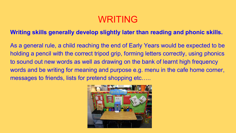# WRITING

#### **Writing skills generally develop slightly later than reading and phonic skills.**

As a general rule, a child reaching the end of Early Years would be expected to be holding a pencil with the correct tripod grip, forming letters correctly, using phonics to sound out new words as well as drawing on the bank of learnt high frequency words and be writing for meaning and purpose e.g. menu in the cafe home corner, messages to friends, lists for pretend shopping etc…..

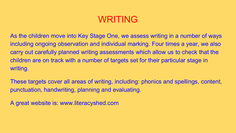# WRITING

As the children move into Key Stage One, we assess writing in a number of ways including ongoing observation and individual marking. Four times a year, we also carry out carefully planned writing assessments which allow us to check that the children are on track with a number of targets set for their particular stage in writing.

These targets cover all areas of writing, including: phonics and spellings, content, punctuation, handwriting, planning and evaluating.

A great website is: www.literacyshed.com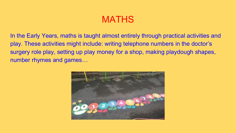In the Early Years, maths is taught almost entirely through practical activities and play. These activities might include: writing telephone numbers in the doctor's surgery role play, setting up play money for a shop, making playdough shapes, number rhymes and games…

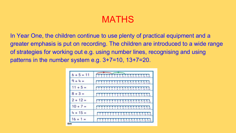In Year One, the children continue to use plenty of practical equipment and a greater emphasis is put on recording. The children are introduced to a wide range of strategies for working out e.g. using number lines, recognising and using patterns in the number system e.g. 3+7=10, 13+7=20.

| $6 + 5 = 11$ | 0123458789101122316151617381920                           |
|--------------|-----------------------------------------------------------|
| $9 + 4 =$    | 3 4 5 6 7 8 9 10 11 12 13 14 15 16 17 18 19 20            |
| $11 + 5 =$   | 0 1 2 3 4 5 5 7 8 9 10 11 12 13 14 15 16 17 18 19 20      |
| $8 + 3 =$    | 0 1 2 3 4 5 6 7 8 9 10 11 12 13 14 15 16 17 18 19 20      |
| $2 + 12 =$   | 3 4 5 6 7 8 9 10 11 12 13 14 15 16 17 18 19 20            |
| $10 + 7 =$   | 5 6 7 8 9 10 11 12 13 14 15 16 17 18 19 20<br>0123<br>- 6 |
| $4 + 15 =$   | 0 1 2 3 4 5 6 7 8 9 10 11 12 13 14 15 16 17 18 19 20      |
| $16 + 1 =$   |                                                           |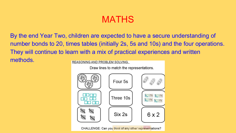By the end Year Two, children are expected to have a secure understanding of number bonds to 20, times tables (initially 2s, 5s and 10s) and the four operations. They will continue to learn with a mix of practical experiences and written methods.**REASONING AND PROBLEM SOLVING.** 

Draw lines to match the representations.

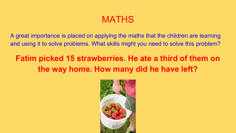A great importance is placed on applying the maths that the children are learning and using it to solve problems. What skills might you need to solve this problem?

# **Fatim picked 15 strawberries. He ate a third of them on the way home. How many did he have left?**